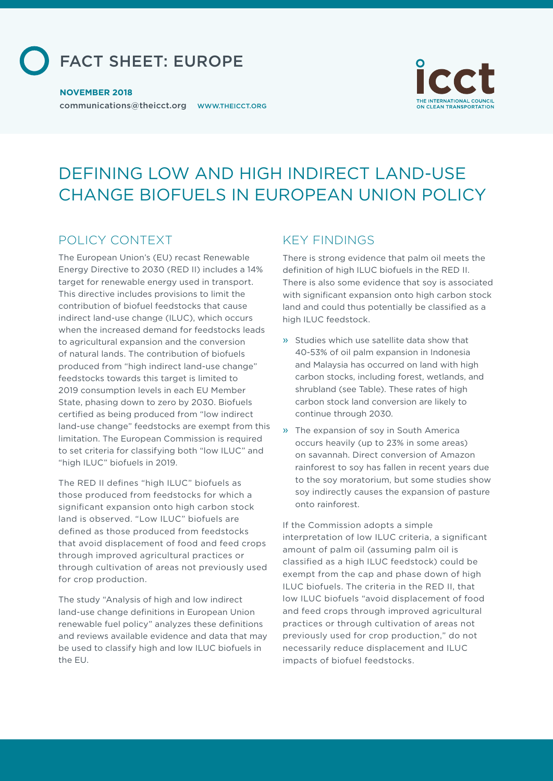

#### **NOVEMBER 2018**

communications@theicct.org WWW.THEICCT.ORG



# DEFINING LOW AND HIGH INDIRECT LAND-USE CHANGE BIOFUELS IN EUROPEAN UNION POLICY

## POLICY CONTEXT

The European Union's (EU) recast Renewable Energy Directive to 2030 (RED II) includes a 14% target for renewable energy used in transport. This directive includes provisions to limit the contribution of biofuel feedstocks that cause indirect land-use change (ILUC), which occurs when the increased demand for feedstocks leads to agricultural expansion and the conversion of natural lands. The contribution of biofuels produced from "high indirect land-use change" feedstocks towards this target is limited to 2019 consumption levels in each EU Member State, phasing down to zero by 2030. Biofuels certified as being produced from "low indirect land-use change" feedstocks are exempt from this limitation. The European Commission is required to set criteria for classifying both "low ILUC" and "high ILUC" biofuels in 2019.

The RED II defines "high ILUC" biofuels as those produced from feedstocks for which a significant expansion onto high carbon stock land is observed. "Low ILUC" biofuels are defined as those produced from feedstocks that avoid displacement of food and feed crops through improved agricultural practices or through cultivation of areas not previously used for crop production.

The study "Analysis of high and low indirect land-use change definitions in European Union renewable fuel policy" analyzes these definitions and reviews available evidence and data that may be used to classify high and low ILUC biofuels in the EU.

### KEY FINDINGS

There is strong evidence that palm oil meets the definition of high ILUC biofuels in the RED II. There is also some evidence that soy is associated with significant expansion onto high carbon stock land and could thus potentially be classified as a high ILUC feedstock.

- » Studies which use satellite data show that 40-53% of oil palm expansion in Indonesia and Malaysia has occurred on land with high carbon stocks, including forest, wetlands, and shrubland (see Table). These rates of high carbon stock land conversion are likely to continue through 2030.
- » The expansion of soy in South America occurs heavily (up to 23% in some areas) on savannah. Direct conversion of Amazon rainforest to soy has fallen in recent years due to the soy moratorium, but some studies show soy indirectly causes the expansion of pasture onto rainforest.

If the Commission adopts a simple interpretation of low ILUC criteria, a significant amount of palm oil (assuming palm oil is classified as a high ILUC feedstock) could be exempt from the cap and phase down of high ILUC biofuels. The criteria in the RED II, that low ILUC biofuels "avoid displacement of food and feed crops through improved agricultural practices or through cultivation of areas not previously used for crop production," do not necessarily reduce displacement and ILUC impacts of biofuel feedstocks.